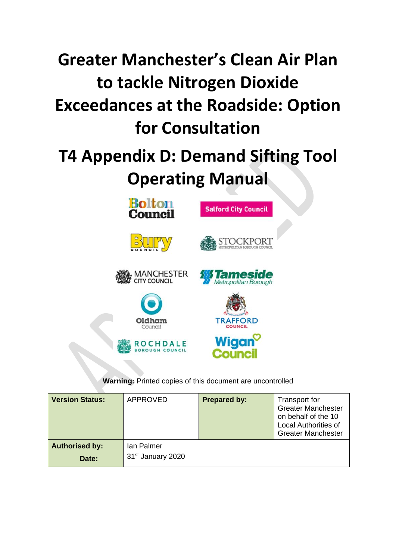# **Greater Manchester's Clean Air Plan to tackle Nitrogen Dioxide Exceedances at the Roadside: Option for Consultation**

# **T4 Appendix D: Demand Sifting Tool Operating Manual**



# **Warning:** Printed copies of this document are uncontrolled

| <b>Version Status:</b>         | <b>APPROVED</b>                             | <b>Prepared by:</b> | Transport for<br><b>Greater Manchester</b><br>on behalf of the 10<br><b>Local Authorities of</b><br><b>Greater Manchester</b> |
|--------------------------------|---------------------------------------------|---------------------|-------------------------------------------------------------------------------------------------------------------------------|
| <b>Authorised by:</b><br>Date: | Ian Palmer<br>31 <sup>st</sup> January 2020 |                     |                                                                                                                               |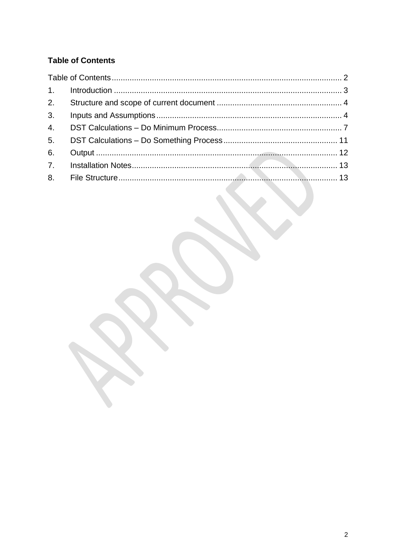# <span id="page-1-0"></span>**Table of Contents**

| 6. |  |
|----|--|
|    |  |
|    |  |
|    |  |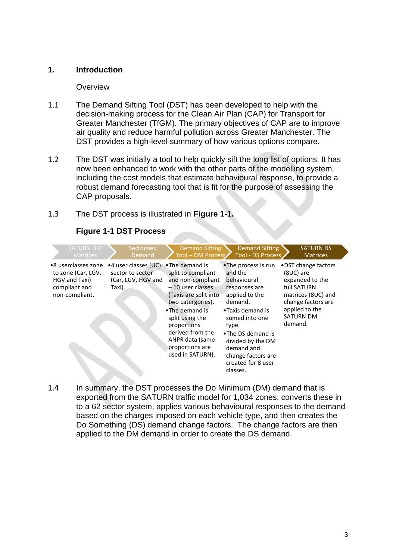# <span id="page-2-0"></span>**1. Introduction**

#### **Overview**

- 1.1 The Demand Sifting Tool (DST) has been developed to help with the decision-making process for the Clean Air Plan (CAP) for Transport for Greater Manchester (TfGM). The primary objectives of CAP are to improve air quality and reduce harmful pollution across Greater Manchester. The DST provides a high-level summary of how various options compare.
- 1.2 The DST was initially a tool to help quickly sift the long list of options. It has now been enhanced to work with the other parts of the modelling system, including the cost models that estimate behavioural response, to provide a robust demand forecasting tool that is fit for the purpose of assessing the CAP proposals.

# 1.3 The DST process is illustrated in **[Figure 1-1.](#page-2-1)**

<span id="page-2-1"></span>

| <b>SATURN DM</b><br><b>Matrices</b>                                                           | Sectorised<br>Demand                                                     | <b>Demand Sifting</b><br>Tool - DM Process                                                                                                                                                                                                                      | <b>Demand Sifting</b><br>Tool - DS Process                                                                                                                                                                                                                 | <b>SATURN DS</b><br><b>Matrices</b>                                                                                                                              |  |
|-----------------------------------------------------------------------------------------------|--------------------------------------------------------------------------|-----------------------------------------------------------------------------------------------------------------------------------------------------------------------------------------------------------------------------------------------------------------|------------------------------------------------------------------------------------------------------------------------------------------------------------------------------------------------------------------------------------------------------------|------------------------------------------------------------------------------------------------------------------------------------------------------------------|--|
| •8 userclasses zone<br>to zone (Car, LGV,<br>HGV and Taxi)<br>compliant and<br>non-compliant. | •4 user classes (UC)<br>sector to sector<br>(Car, LGV, HGV and<br>Taxi). | •The demand is<br>split to compliant<br>and non-compliant<br>$-10$ user classes<br>(Taxis are split into<br>two catergories).<br>•The demand is<br>split using the<br>proportions<br>derived from the<br>ANPR data (same<br>proportions are<br>used in SATURN). | •The process is run<br>and the<br>behavioural<br>responses are<br>applied to the<br>demand.<br>•Taxis demand is<br>sumed into one<br>type.<br>•The DS demand is<br>divided by the DM<br>demand and<br>change factors are<br>created for 8 user<br>classes. | • DST change factors<br>(8UC) are<br>expanded to the<br>full SATURN<br>matrices (8UC) and<br>change factors are<br>applied to the<br><b>SATURN DM</b><br>demand. |  |

# **Figure 1-1 DST Process**

1.4 In summary, the DST processes the Do Minimum (DM) demand that is exported from the SATURN traffic model for 1,034 zones, converts these in to a 62 sector system, applies various behavioural responses to the demand based on the charges imposed on each vehicle type, and then creates the Do Something (DS) demand change factors. The change factors are then applied to the DM demand in order to create the DS demand.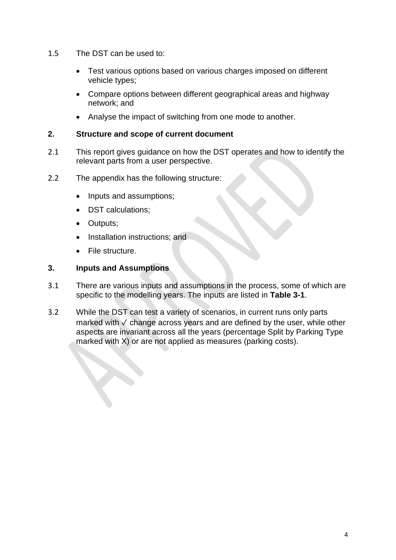- 1.5 The DST can be used to:
	- Test various options based on various charges imposed on different vehicle types;
	- Compare options between different geographical areas and highway network; and
	- Analyse the impact of switching from one mode to another.

# <span id="page-3-0"></span>**2. Structure and scope of current document**

- 2.1 This report gives guidance on how the DST operates and how to identify the relevant parts from a user perspective.
- 2.2 The appendix has the following structure:
	- Inputs and assumptions;
	- DST calculations;
	- Outputs;
	- Installation instructions; and
	- File structure.

# <span id="page-3-1"></span>**3. Inputs and Assumptions**

- 3.1 There are various inputs and assumptions in the process, some of which are specific to the modelling years. The inputs are listed in **[Table 3-1](#page-4-0)**.
- 3.2 While the DST can test a variety of scenarios, in current runs only parts marked with √ change across years and are defined by the user, while other aspects are invariant across all the years (percentage Split by Parking Type marked with X) or are not applied as measures (parking costs).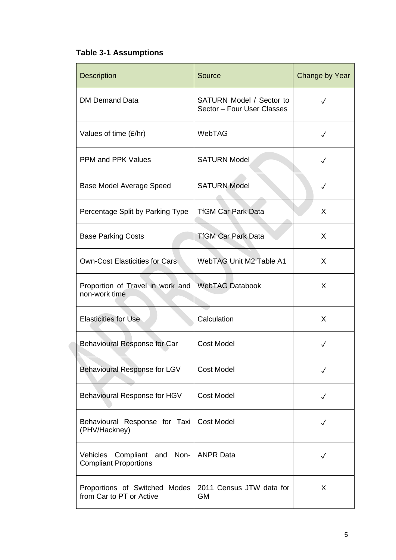# <span id="page-4-0"></span>**Table 3-1 Assumptions**

| <b>Description</b>                                                | Source                                                 | Change by Year |
|-------------------------------------------------------------------|--------------------------------------------------------|----------------|
| <b>DM Demand Data</b>                                             | SATURN Model / Sector to<br>Sector - Four User Classes | $\checkmark$   |
| Values of time (£/hr)                                             | WebTAG                                                 | $\checkmark$   |
| <b>PPM and PPK Values</b>                                         | <b>SATURN Model</b>                                    | $\checkmark$   |
| Base Model Average Speed                                          | <b>SATURN Model</b>                                    | $\checkmark$   |
| Percentage Split by Parking Type                                  | <b>TfGM Car Park Data</b>                              | X              |
| <b>Base Parking Costs</b>                                         | <b>TfGM Car Park Data</b>                              | X              |
| <b>Own-Cost Elasticities for Cars</b>                             | <b>WebTAG Unit M2 Table A1</b>                         | X              |
| Proportion of Travel in work and<br>non-work time                 | <b>WebTAG Databook</b>                                 | X              |
| <b>Elasticities for Use</b>                                       | Calculation                                            | X              |
| Behavioural Response for Car                                      | <b>Cost Model</b>                                      | $\checkmark$   |
| Behavioural Response for LGV                                      | <b>Cost Model</b>                                      | $\checkmark$   |
| Behavioural Response for HGV                                      | <b>Cost Model</b>                                      | $\checkmark$   |
| Behavioural Response for Taxi<br>(PHV/Hackney)                    | <b>Cost Model</b>                                      | $\checkmark$   |
| Vehicles<br>Compliant and<br>Non-<br><b>Compliant Proportions</b> | <b>ANPR Data</b>                                       | $\checkmark$   |
| Proportions of Switched Modes<br>from Car to PT or Active         | 2011 Census JTW data for<br><b>GM</b>                  | X              |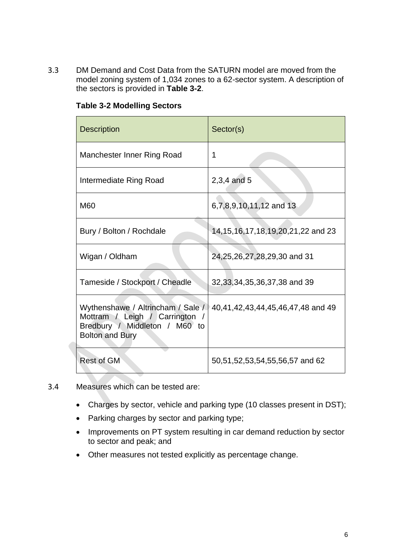3.3 DM Demand and Cost Data from the SATURN model are moved from the model zoning system of 1,034 zones to a 62-sector system. A description of the sectors is provided in **[Table 3-2](#page-5-0)**.

| <b>Description</b>                                                                                                             | Sector(s)                                 |
|--------------------------------------------------------------------------------------------------------------------------------|-------------------------------------------|
| Manchester Inner Ring Road                                                                                                     | 1                                         |
| Intermediate Ring Road                                                                                                         | $2,3,4$ and 5                             |
| M60                                                                                                                            | 6,7,8,9,10,11,12 and 13                   |
| Bury / Bolton / Rochdale                                                                                                       | 14, 15, 16, 17, 18, 19, 20, 21, 22 and 23 |
| Wigan / Oldham                                                                                                                 | 24, 25, 26, 27, 28, 29, 30 and 31         |
| Tameside / Stockport / Cheadle                                                                                                 | 32, 33, 34, 35, 36, 37, 38 and 39         |
| Wythenshawe / Altrincham / Sale /<br>Mottram / Leigh / Carrington /<br>Bredbury / Middleton / M60 to<br><b>Bolton and Bury</b> | 40,41,42,43,44,45,46,47,48 and 49         |
| <b>Rest of GM</b>                                                                                                              | 50,51,52,53,54,55,56,57 and 62            |

# <span id="page-5-0"></span>**Table 3-2 Modelling Sectors**

- 3.4 Measures which can be tested are:
	- Charges by sector, vehicle and parking type (10 classes present in DST);
	- Parking charges by sector and parking type;
	- Improvements on PT system resulting in car demand reduction by sector to sector and peak; and
	- Other measures not tested explicitly as percentage change.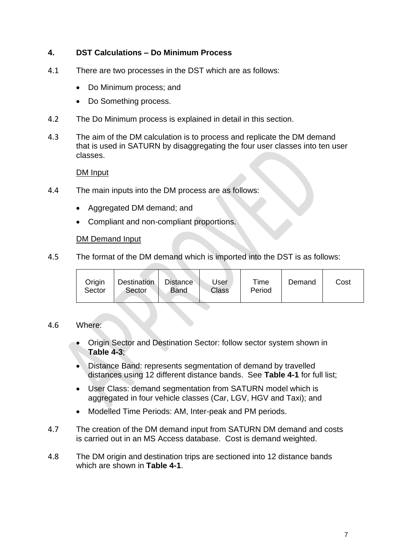# <span id="page-6-0"></span>**4. DST Calculations – Do Minimum Process**

- 4.1 There are two processes in the DST which are as follows:
	- Do Minimum process; and
	- Do Something process.
- 4.2 The Do Minimum process is explained in detail in this section.
- 4.3 The aim of the DM calculation is to process and replicate the DM demand that is used in SATURN by disaggregating the four user classes into ten user classes.

#### DM Input

- 4.4 The main inputs into the DM process are as follows:
	- Aggregated DM demand; and
	- Compliant and non-compliant proportions.

#### DM Demand Input

4.5 The format of the DM demand which is imported into the DST is as follows:

| Origin<br>Sector | Destination<br>Sector | <b>Distance</b><br>Band | Jser<br>Class | Time<br>Period | Demand | Cost |
|------------------|-----------------------|-------------------------|---------------|----------------|--------|------|
|------------------|-----------------------|-------------------------|---------------|----------------|--------|------|

# 4.6 Where:

- Origin Sector and Destination Sector: follow sector system shown in **[Table 4-3](#page-9-0)**;
- Distance Band: represents segmentation of demand by travelled distances using 12 different distance bands. See **[Table 4-1](#page-7-0)** for full list;
- User Class: demand segmentation from SATURN model which is aggregated in four vehicle classes (Car, LGV, HGV and Taxi); and
- Modelled Time Periods: AM, Inter-peak and PM periods.
- 4.7 The creation of the DM demand input from SATURN DM demand and costs is carried out in an MS Access database. Cost is demand weighted.
- 4.8 The DM origin and destination trips are sectioned into 12 distance bands which are shown in **[Table 4-1](#page-7-0)**.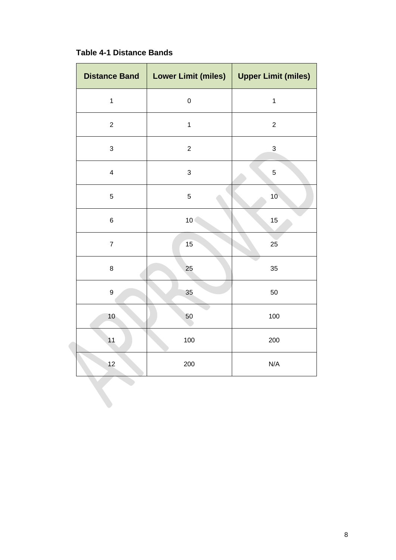<span id="page-7-0"></span>

| <b>Distance Band</b>    | <b>Lower Limit (miles)</b> | <b>Upper Limit (miles)</b> |
|-------------------------|----------------------------|----------------------------|
| $\mathbf{1}$            | $\mathbf 0$                | $\mathbf{1}$               |
| $\overline{c}$          | $\mathbf{1}$               | $\overline{c}$             |
| $\sqrt{3}$              | $\overline{c}$             | $\mathfrak{S}$             |
| $\overline{\mathbf{4}}$ | 3                          | $\,$ 5 $\,$                |
| 5                       | 5                          | 10 <sup>°</sup>            |
| $\,6$                   | 10 <sub>1</sub>            | 15                         |
| $\overline{7}$          | 15                         | 25                         |
| $\bf 8$                 | 25                         | 35                         |
| $\boldsymbol{9}$        | 35                         | 50                         |
| 10                      | 50                         | 100                        |
| 11                      | 100                        | 200                        |
| 12                      | 200                        | N/A                        |
|                         |                            |                            |

# **Table 4-1 Distance Bands**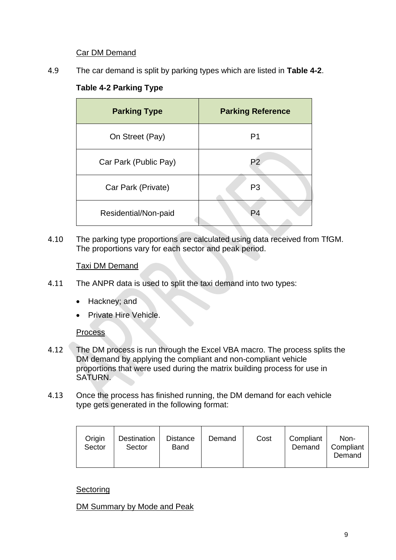# Car DM Demand

<span id="page-8-0"></span>4.9 The car demand is split by parking types which are listed in **[Table 4-2](#page-8-0)**.

# **Table 4-2 Parking Type**

| <b>Parking Type</b>   | <b>Parking Reference</b> |
|-----------------------|--------------------------|
| On Street (Pay)       | P <sub>1</sub>           |
| Car Park (Public Pay) | P <sub>2</sub>           |
| Car Park (Private)    | P <sub>3</sub>           |
| Residential/Non-paid  | P4                       |

4.10 The parking type proportions are calculated using data received from TfGM. The proportions vary for each sector and peak period.

# Taxi DM Demand

- 4.11 The ANPR data is used to split the taxi demand into two types:
	- Hackney; and
	- Private Hire Vehicle.

# **Process**

- 4.12 The DM process is run through the Excel VBA macro. The process splits the DM demand by applying the compliant and non-compliant vehicle proportions that were used during the matrix building process for use in SATURN.
- 4.13 Once the process has finished running, the DM demand for each vehicle type gets generated in the following format:

| Origin<br>Sector | Destination<br>Sector | Distance<br>Band | Demand | Cost | Compliant<br>Demand | Non-<br>Compliant<br>Demand |
|------------------|-----------------------|------------------|--------|------|---------------------|-----------------------------|
|------------------|-----------------------|------------------|--------|------|---------------------|-----------------------------|

# **Sectoring**

DM Summary by Mode and Peak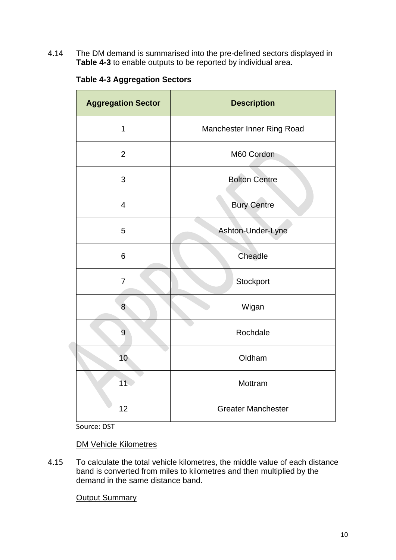<span id="page-9-0"></span>4.14 The DM demand is summarised into the pre-defined sectors displayed in **[Table 4-3](#page-9-0)** to enable outputs to be reported by individual area.

|  |  | <b>Table 4-3 Aggregation Sectors</b> |  |
|--|--|--------------------------------------|--|
|--|--|--------------------------------------|--|

| <b>Aggregation Sector</b> | <b>Description</b>         |  |
|---------------------------|----------------------------|--|
| $\mathbf{1}$              | Manchester Inner Ring Road |  |
| $\overline{2}$            | M60 Cordon                 |  |
| 3                         | <b>Bolton Centre</b>       |  |
| $\overline{4}$            | <b>Bury Centre</b>         |  |
| 5                         | Ashton-Under-Lyne          |  |
| 6                         | Cheadle                    |  |
| $\overline{7}$            | Stockport                  |  |
| 8                         | Wigan                      |  |
| 9                         | Rochdale                   |  |
| 10                        | Oldham                     |  |
| 11 <sup>2</sup>           | Mottram                    |  |
| 12                        | <b>Greater Manchester</b>  |  |

Source: DST

DM Vehicle Kilometres

4.15 To calculate the total vehicle kilometres, the middle value of each distance band is converted from miles to kilometres and then multiplied by the demand in the same distance band.

**Output Summary**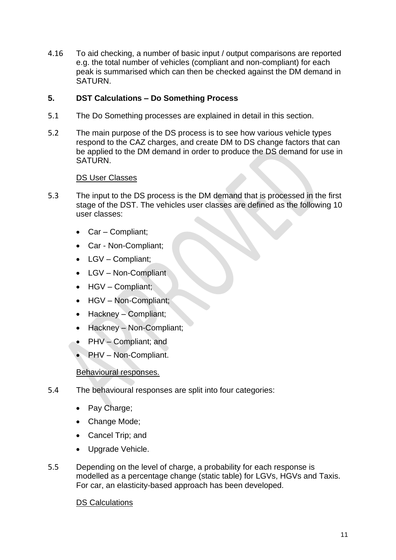4.16 To aid checking, a number of basic input / output comparisons are reported e.g. the total number of vehicles (compliant and non-compliant) for each peak is summarised which can then be checked against the DM demand in SATURN.

# <span id="page-10-0"></span>**5. DST Calculations – Do Something Process**

- 5.1 The Do Something processes are explained in detail in this section.
- 5.2 The main purpose of the DS process is to see how various vehicle types respond to the CAZ charges, and create DM to DS change factors that can be applied to the DM demand in order to produce the DS demand for use in SATURN.

# DS User Classes

- 5.3 The input to the DS process is the DM demand that is processed in the first stage of the DST. The vehicles user classes are defined as the following 10 user classes:
	- Car Compliant;
	- Car Non-Compliant;
	- LGV Compliant;
	- LGV Non-Compliant
	- HGV Compliant;
	- HGV Non-Compliant;
	- Hackney Compliant;
	- Hackney Non-Compliant;
	- PHV Compliant; and
	- PHV Non-Compliant.

# Behavioural responses.

- 5.4 The behavioural responses are split into four categories:
	- Pay Charge;
	- Change Mode;
	- Cancel Trip; and
	- Upgrade Vehicle.
- 5.5 Depending on the level of charge, a probability for each response is modelled as a percentage change (static table) for LGVs, HGVs and Taxis. For car, an elasticity-based approach has been developed.

# DS Calculations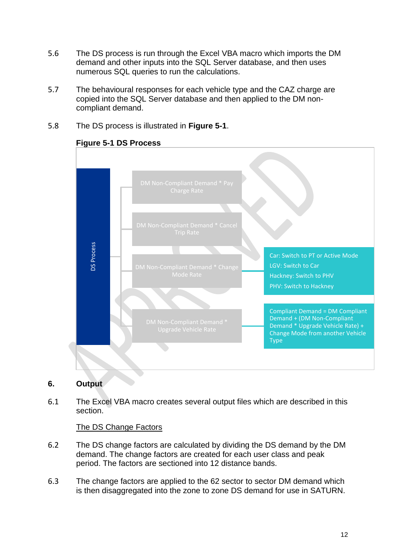- 5.6 The DS process is run through the Excel VBA macro which imports the DM demand and other inputs into the SQL Server database, and then uses numerous SQL queries to run the calculations.
- 5.7 The behavioural responses for each vehicle type and the CAZ charge are copied into the SQL Server database and then applied to the DM noncompliant demand.
- <span id="page-11-1"></span>5.8 The DS process is illustrated in **[Figure 5-1](#page-11-1)**.



# **Figure 5-1 DS Process**

# <span id="page-11-0"></span>**6. Output**

6.1 The Excel VBA macro creates several output files which are described in this section.

# The DS Change Factors

- 6.2 The DS change factors are calculated by dividing the DS demand by the DM demand. The change factors are created for each user class and peak period. The factors are sectioned into 12 distance bands.
- 6.3 The change factors are applied to the 62 sector to sector DM demand which<br>is then disaggregated into the zone to zone DS demand for use in SATURN.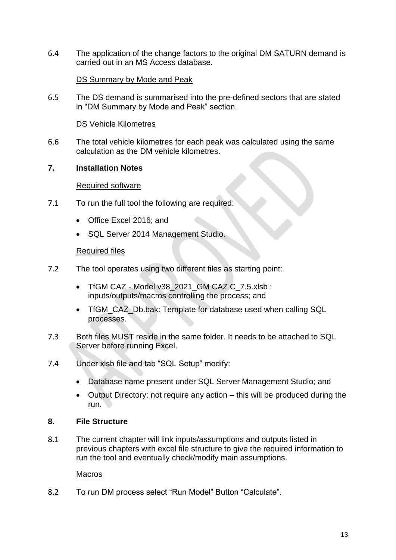6.4 The application of the change factors to the original DM SATURN demand is carried out in an MS Access database.

# DS Summary by Mode and Peak

6.5 The DS demand is summarised into the pre-defined sectors that are stated in "DM Summary by Mode and Peak" section.

# DS Vehicle Kilometres

6.6 The total vehicle kilometres for each peak was calculated using the same calculation as the DM vehicle kilometres.

# <span id="page-12-0"></span>**7. Installation Notes**

#### Required software

- 7.1 To run the full tool the following are required:
	- Office Excel 2016; and
	- SQL Server 2014 Management Studio.

#### Required files

- 7.2 The tool operates using two different files as starting point:
	- TfGM CAZ Model v38 2021 GM CAZ C\_7.5.xlsb : inputs/outputs/macros controlling the process; and
	- TfGM\_CAZ\_Db.bak: Template for database used when calling SQL processes.
- 7.3 Both files MUST reside in the same folder. It needs to be attached to SQL Server before running Excel.
- 7.4 Under xlsb file and tab "SQL Setup" modify:
	- Database name present under SQL Server Management Studio; and
	- Output Directory: not require any action this will be produced during the run.

# <span id="page-12-1"></span>**8. File Structure**

8.1 The current chapter will link inputs/assumptions and outputs listed in previous chapters with excel file structure to give the required information to run the tool and eventually check/modify main assumptions.

#### **Macros**

8.2 To run DM process select "Run Model" Button "Calculate".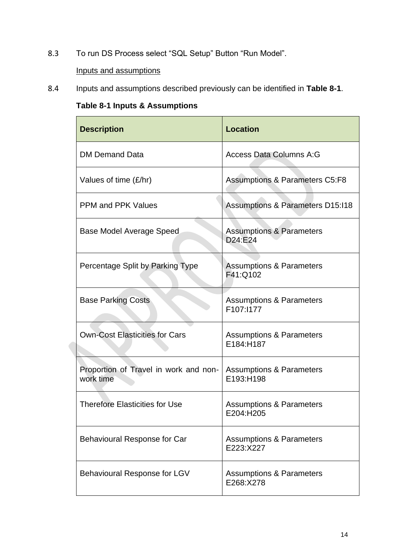8.3 To run DS Process select "SQL Setup" Button "Run Model".

# Inputs and assumptions

<span id="page-13-0"></span>8.4 Inputs and assumptions described previously can be identified in **[Table 8-1](#page-13-0)**.

**Table 8-1 Inputs & Assumptions**

| <b>Description</b>                                 | <b>Location</b>                                  |
|----------------------------------------------------|--------------------------------------------------|
| <b>DM Demand Data</b>                              | <b>Access Data Columns A:G</b>                   |
| Values of time (£/hr)                              | <b>Assumptions &amp; Parameters C5:F8</b>        |
| <b>PPM and PPK Values</b>                          | <b>Assumptions &amp; Parameters D15:118</b>      |
| Base Model Average Speed                           | <b>Assumptions &amp; Parameters</b><br>D24:E24   |
| Percentage Split by Parking Type                   | <b>Assumptions &amp; Parameters</b><br>F41:Q102  |
| <b>Base Parking Costs</b>                          | <b>Assumptions &amp; Parameters</b><br>F107:1177 |
| <b>Own-Cost Elasticities for Cars</b>              | <b>Assumptions &amp; Parameters</b><br>E184:H187 |
| Proportion of Travel in work and non-<br>work time | <b>Assumptions &amp; Parameters</b><br>E193:H198 |
| <b>Therefore Elasticities for Use</b>              | <b>Assumptions &amp; Parameters</b><br>E204:H205 |
| Behavioural Response for Car                       | <b>Assumptions &amp; Parameters</b><br>E223:X227 |
| Behavioural Response for LGV                       | <b>Assumptions &amp; Parameters</b><br>E268:X278 |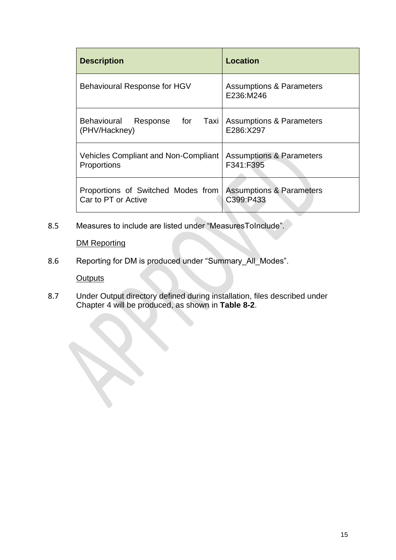| <b>Description</b>                                         | Location                                         |
|------------------------------------------------------------|--------------------------------------------------|
| Behavioural Response for HGV                               | <b>Assumptions &amp; Parameters</b><br>E236:M246 |
| Response for<br><b>Behavioural</b><br>(PHV/Hackney)        | Taxi   Assumptions & Parameters<br>E286:X297     |
| <b>Vehicles Compliant and Non-Compliant</b><br>Proportions | <b>Assumptions &amp; Parameters</b><br>F341:F395 |
| Proportions of Switched Modes from<br>Car to PT or Active  | <b>Assumptions &amp; Parameters</b><br>C399:P433 |

8.5 Measures to include are listed under "MeasuresToInclude".

DM Reporting

8.6 Reporting for DM is produced under "Summary\_All\_Modes".

**Outputs** 

8.7 Under Output directory defined during installation, files described under Chapter 4 will be produced, as shown in **[Table 8-2](#page-15-0)**.